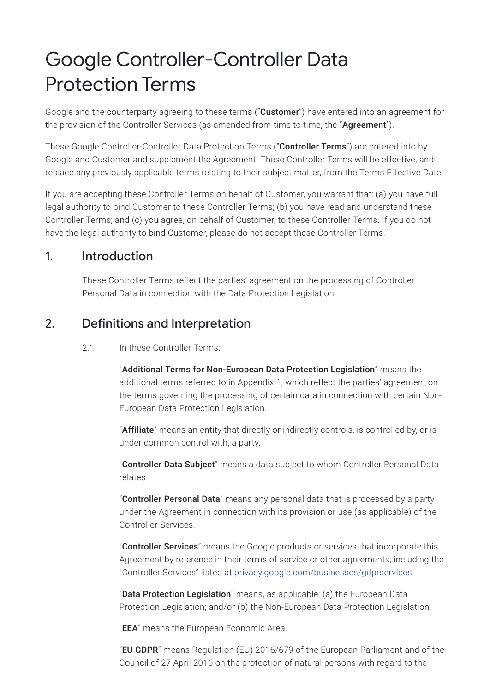# Google Controller-Controller Data Protection Terms

Google and the counterparty agreeing to these terms ("**Customer**") have entered into an agreement for the provision of the Controller Services (as amended from time to time, the "Agreement").

These Google Controller-Controller Data Protection Terms ("Controller Terms") are entered into by Google and Customer and supplement the Agreement. These Controller Terms will be effective, and replace any previously applicable terms relating to their subject matter, from the Terms Effective Date.

If you are accepting these Controller Terms on behalf of Customer, you warrant that: (a) you have full legal authority to bind Customer to these Controller Terms; (b) you have read and understand these Controller Terms; and (c) you agree, on behalf of Customer, to these Controller Terms. If you do not have the legal authority to bind Customer, please do not accept these Controller Terms.

### 1. Introduction

These Controller Terms reflect the parties' agreement on the processing of Controller Personal Data in connection with the Data Protection Legislation.

## 2. Definitions and Interpretation

2.1 In these Controller Terms:

"Additional Terms for Non-European Data Protection Legislation" means the additional terms referred to in Appendix 1, which reflect the parties' agreement on the terms governing the processing of certain data in connection with certain Non-European Data Protection Legislation.

"Affiliate" means an entity that directly or indirectly controls, is controlled by, or is under common control with, a party.

"Controller Data Subject" means a data subject to whom Controller Personal Data relates.

"Controller Personal Data" means any personal data that is processed by a party under the Agreement in connection with its provision or use (as applicable) of the Controller Services.

"Controller Services" means the Google products or services that incorporate this Agreement by reference in their terms of service or other agreements, including the "Controller Services" listed at [privacy.google.com/businesses/gdprservices](https://privacy.google.com/businesses/gdprservices/).

"Data Protection Legislation" means, as applicable: (a) the European Data Protection Legislation; and/or (b) the Non-European Data Protection Legislation.

"EEA" means the European Economic Area.

"EU GDPR" means Regulation (EU) 2016/679 of the European Parliament and of the Council of 27 April 2016 on the protection of natural persons with regard to the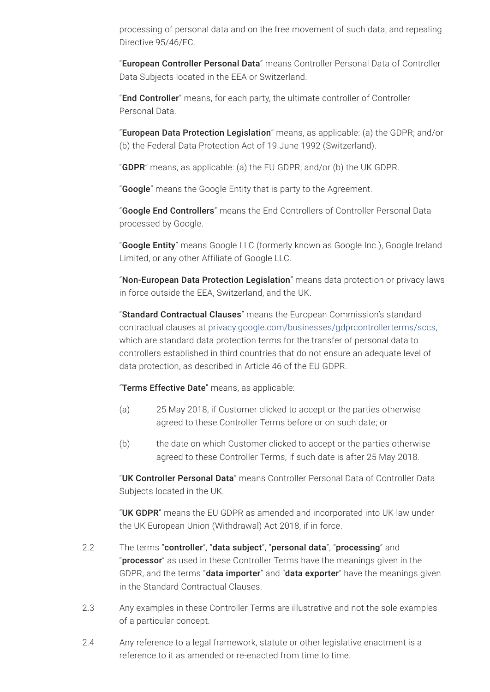processing of personal data and on the free movement of such data, and repealing Directive 95/46/EC.

"European Controller Personal Data" means Controller Personal Data of Controller Data Subjects located in the EEA or Switzerland.

"End Controller" means, for each party, the ultimate controller of Controller Personal Data.

"European Data Protection Legislation" means, as applicable: (a) the GDPR; and/or (b) the Federal Data Protection Act of 19 June 1992 (Switzerland).

"**GDPR**" means, as applicable: (a) the EU GDPR; and/or (b) the UK GDPR.

"**Google**" means the Google Entity that is party to the Agreement.

"Google End Controllers" means the End Controllers of Controller Personal Data processed by Google.

"Google Entity" means Google LLC (formerly known as Google Inc.), Google Ireland Limited, or any other Affiliate of Google LLC.

"Non-European Data Protection Legislation" means data protection or privacy laws in force outside the EEA, Switzerland, and the UK.

"Standard Contractual Clauses" means the European Commission's standard contractual clauses at [privacy.google.com/businesses/gdprcontrollerterms/sccs,](https://privacy.google.com/businesses/gdprcontrollerterms/sccs/) which are standard data protection terms for the transfer of personal data to controllers established in third countries that do not ensure an adequate level of data protection, as described in Article 46 of the EU GDPR.

"Terms Effective Date" means, as applicable:

- (a) 25 May 2018, if Customer clicked to accept or the parties otherwise agreed to these Controller Terms before or on such date; or
- (b) the date on which Customer clicked to accept or the parties otherwise agreed to these Controller Terms, if such date is after 25 May 2018.

"UK Controller Personal Data" means Controller Personal Data of Controller Data Subjects located in the UK.

"UK GDPR" means the EU GDPR as amended and incorporated into UK law under the UK European Union (Withdrawal) Act 2018, if in force.

- 2.2 The terms "controller", "data subject", "personal data", "processing" and "**processor**" as used in these Controller Terms have the meanings given in the GDPR, and the terms "**data importer**" and "**data exporter**" have the meanings given in the Standard Contractual Clauses.
- 2.3 Any examples in these Controller Terms are illustrative and not the sole examples of a particular concept.
- 2.4 Any reference to a legal framework, statute or other legislative enactment is a reference to it as amended or re-enacted from time to time.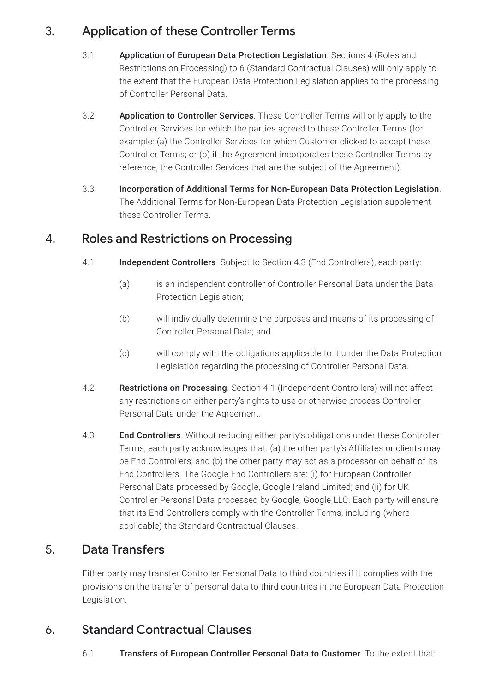## 3. Application of these Controller Terms

- 3.1 Application of European Data Protection Legislation. Sections 4 (Roles and Restrictions on Processing) to 6 (Standard Contractual Clauses) will only apply to the extent that the European Data Protection Legislation applies to the processing of Controller Personal Data.
- 3.2 Application to Controller Services. These Controller Terms will only apply to the Controller Services for which the parties agreed to these Controller Terms (for example: (a) the Controller Services for which Customer clicked to accept these Controller Terms; or (b) if the Agreement incorporates these Controller Terms by reference, the Controller Services that are the subject of the Agreement).
- 3.3 Incorporation of Additional Terms for Non-European Data Protection Legislation. The Additional Terms for Non-European Data Protection Legislation supplement these Controller Terms.

## 4. Roles and Restrictions on Processing

- 4.1 **Independent Controllers**. Subject to Section 4.3 (End Controllers), each party:
	- (a) is an independent controller of Controller Personal Data under the Data Protection Legislation;
	- (b) will individually determine the purposes and means of its processing of Controller Personal Data; and
	- (c) will comply with the obligations applicable to it under the Data Protection Legislation regarding the processing of Controller Personal Data.
- 4.2 Restrictions on Processing. Section 4.1 (Independent Controllers) will not affect any restrictions on either party's rights to use or otherwise process Controller Personal Data under the Agreement.
- 4.3 **End Controllers**. Without reducing either party's obligations under these Controller Terms, each party acknowledges that: (a) the other party's Affiliates or clients may be End Controllers; and (b) the other party may act as a processor on behalf of its End Controllers. The Google End Controllers are: (i) for European Controller Personal Data processed by Google, Google Ireland Limited; and (ii) for UK Controller Personal Data processed by Google, Google LLC. Each party will ensure that its End Controllers comply with the Controller Terms, including (where applicable) the Standard Contractual Clauses.

# 5. Data Transfers

Either party may transfer Controller Personal Data to third countries if it complies with the provisions on the transfer of personal data to third countries in the European Data Protection Legislation.

## 6. Standard Contractual Clauses

#### 6.1 Transfers of European Controller Personal Data to Customer. To the extent that: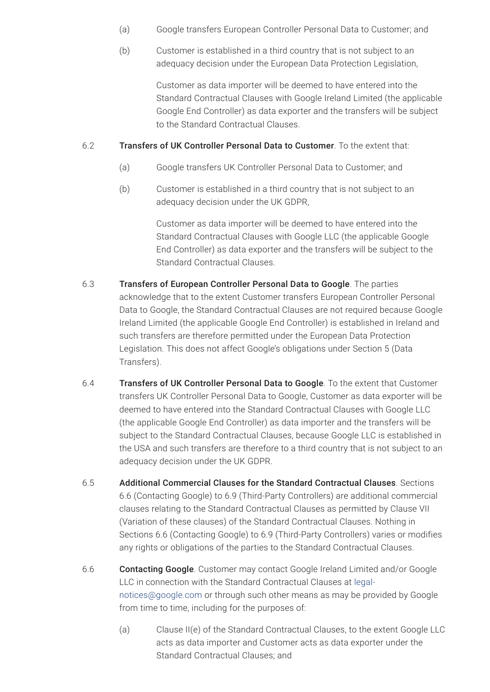- (a) Google transfers European Controller Personal Data to Customer; and
- (b) Customer is established in a third country that is not subject to an adequacy decision under the European Data Protection Legislation,

Customer as data importer will be deemed to have entered into the Standard Contractual Clauses with Google Ireland Limited (the applicable Google End Controller) as data exporter and the transfers will be subject to the Standard Contractual Clauses.

#### 6.2 Transfers of UK Controller Personal Data to Customer. To the extent that:

- (a) Google transfers UK Controller Personal Data to Customer; and
- (b) Customer is established in a third country that is not subject to an adequacy decision under the UK GDPR,

Customer as data importer will be deemed to have entered into the Standard Contractual Clauses with Google LLC (the applicable Google End Controller) as data exporter and the transfers will be subject to the Standard Contractual Clauses.

- 6.3 Transfers of European Controller Personal Data to Google. The parties acknowledge that to the extent Customer transfers European Controller Personal Data to Google, the Standard Contractual Clauses are not required because Google Ireland Limited (the applicable Google End Controller) is established in Ireland and such transfers are therefore permitted under the European Data Protection Legislation. This does not affect Google's obligations under Section 5 (Data Transfers).
- 6.4 Transfers of UK Controller Personal Data to Google. To the extent that Customer transfers UK Controller Personal Data to Google, Customer as data exporter will be deemed to have entered into the Standard Contractual Clauses with Google LLC (the applicable Google End Controller) as data importer and the transfers will be subject to the Standard Contractual Clauses, because Google LLC is established in the USA and such transfers are therefore to a third country that is not subject to an adequacy decision under the UK GDPR.
- 6.5 Additional Commercial Clauses for the Standard Contractual Clauses. Sections 6.6 (Contacting Google) to 6.9 (Third-Party Controllers) are additional commercial clauses relating to the Standard Contractual Clauses as permitted by Clause VII (Variation of these clauses) of the Standard Contractual Clauses. Nothing in Sections 6.6 (Contacting Google) to 6.9 (Third-Party Controllers) varies or modifies any rights or obligations of the parties to the Standard Contractual Clauses.
- 6.6 Contacting Google. Customer may contact Google Ireland Limited and/or Google LLC in connection with the Standard Contractual Clauses at legal[notices@google.com](mailto:legal-notices@google.com) or through such other means as may be provided by Google from time to time, including for the purposes of:
	- (a) Clause II(e) of the Standard Contractual Clauses, to the extent Google LLC acts as data importer and Customer acts as data exporter under the Standard Contractual Clauses; and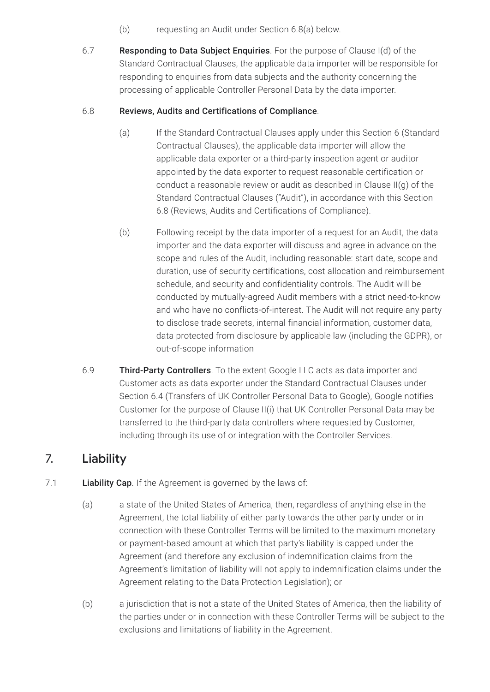- (b) requesting an Audit under Section 6.8(a) below.
- 6.7 Responding to Data Subject Enquiries. For the purpose of Clause I(d) of the Standard Contractual Clauses, the applicable data importer will be responsible for responding to enquiries from data subjects and the authority concerning the processing of applicable Controller Personal Data by the data importer.

#### 6.8 Reviews, Audits and Certifications of Compliance.

- (a) If the Standard Contractual Clauses apply under this Section 6 (Standard Contractual Clauses), the applicable data importer will allow the applicable data exporter or a third-party inspection agent or auditor appointed by the data exporter to request reasonable certification or conduct a reasonable review or audit as described in Clause II(g) of the Standard Contractual Clauses ("Audit"), in accordance with this Section 6.8 (Reviews, Audits and Certifications of Compliance).
- (b) Following receipt by the data importer of a request for an Audit, the data importer and the data exporter will discuss and agree in advance on the scope and rules of the Audit, including reasonable: start date, scope and duration, use of security certifications, cost allocation and reimbursement schedule, and security and confidentiality controls. The Audit will be conducted by mutually-agreed Audit members with a strict need-to-know and who have no conflicts-of-interest. The Audit will not require any party to disclose trade secrets, internal financial information, customer data, data protected from disclosure by applicable law (including the GDPR), or out-of-scope information
- 6.9 Third-Party Controllers. To the extent Google LLC acts as data importer and Customer acts as data exporter under the Standard Contractual Clauses under Section 6.4 (Transfers of UK Controller Personal Data to Google), Google notifies Customer for the purpose of Clause II(i) that UK Controller Personal Data may be transferred to the third-party data controllers where requested by Customer, including through its use of or integration with the Controller Services.

### 7. Liability

#### 7.1 **Liability Cap**. If the Agreement is governed by the laws of:

- (a) a state of the United States of America, then, regardless of anything else in the Agreement, the total liability of either party towards the other party under or in connection with these Controller Terms will be limited to the maximum monetary or payment-based amount at which that party's liability is capped under the Agreement (and therefore any exclusion of indemnification claims from the Agreement's limitation of liability will not apply to indemnification claims under the Agreement relating to the Data Protection Legislation); or
- (b) a jurisdiction that is not a state of the United States of America, then the liability of the parties under or in connection with these Controller Terms will be subject to the exclusions and limitations of liability in the Agreement.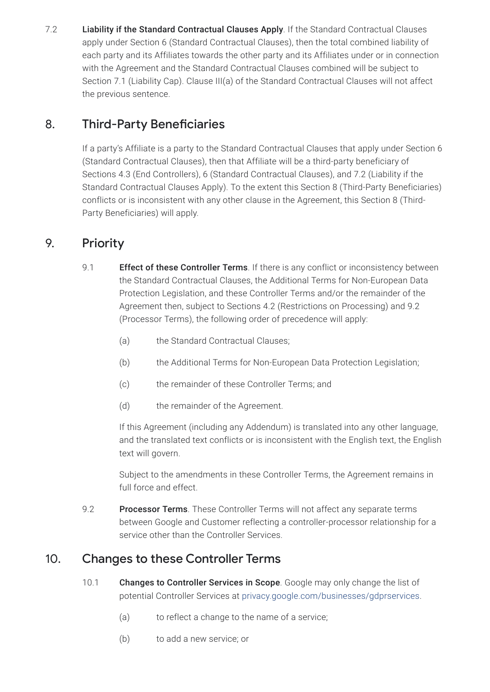7.2 **Liability if the Standard Contractual Clauses Apply**. If the Standard Contractual Clauses apply under Section 6 (Standard Contractual Clauses), then the total combined liability of each party and its Affiliates towards the other party and its Affiliates under or in connection with the Agreement and the Standard Contractual Clauses combined will be subject to Section 7.1 (Liability Cap). Clause III(a) of the Standard Contractual Clauses will not affect the previous sentence.

# 8. Third-Party Beneficiaries

If a party's Affiliate is a party to the Standard Contractual Clauses that apply under Section 6 (Standard Contractual Clauses), then that Affiliate will be a third-party beneficiary of Sections 4.3 (End Controllers), 6 (Standard Contractual Clauses), and 7.2 (Liability if the Standard Contractual Clauses Apply). To the extent this Section 8 (Third-Party Beneficiaries) conflicts or is inconsistent with any other clause in the Agreement, this Section 8 (Third-Party Beneficiaries) will apply.

# 9. Priority

- 9.1 **Effect of these Controller Terms**. If there is any conflict or inconsistency between the Standard Contractual Clauses, the Additional Terms for Non-European Data Protection Legislation, and these Controller Terms and/or the remainder of the Agreement then, subject to Sections 4.2 (Restrictions on Processing) and 9.2 (Processor Terms), the following order of precedence will apply:
	- (a) the Standard Contractual Clauses;
	- (b) the Additional Terms for Non-European Data Protection Legislation;
	- (c) the remainder of these Controller Terms; and
	- (d) the remainder of the Agreement.

If this Agreement (including any Addendum) is translated into any other language, and the translated text conflicts or is inconsistent with the English text, the English text will govern.

Subject to the amendments in these Controller Terms, the Agreement remains in full force and effect.

9.2 Processor Terms. These Controller Terms will not affect any separate terms between Google and Customer reflecting a controller-processor relationship for a service other than the Controller Services.

# 10. Changes to these Controller Terms

- 10.1 Changes to Controller Services in Scope. Google may only change the list of potential Controller Services at [privacy.google.com/businesses/gdprservices.](https://privacy.google.com/businesses/gdprservices/)
	- (a) to reflect a change to the name of a service;
	- (b) to add a new service; or